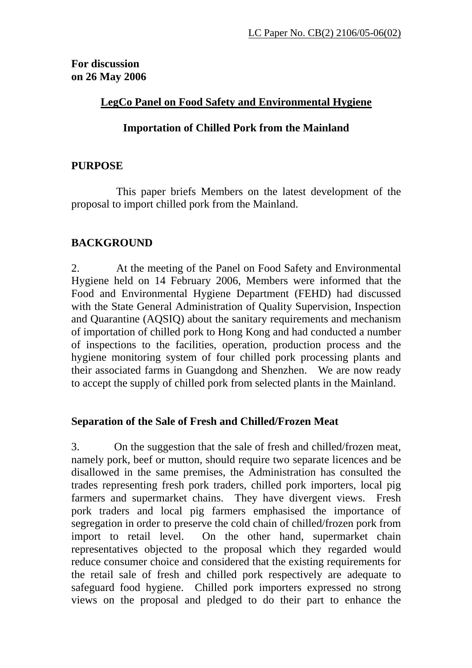**For discussion on 26 May 2006** 

## **LegCo Panel on Food Safety and Environmental Hygiene**

## **Importation of Chilled Pork from the Mainland**

## **PURPOSE**

 This paper briefs Members on the latest development of the proposal to import chilled pork from the Mainland.

## **BACKGROUND**

2. At the meeting of the Panel on Food Safety and Environmental Hygiene held on 14 February 2006, Members were informed that the Food and Environmental Hygiene Department (FEHD) had discussed with the State General Administration of Quality Supervision, Inspection and Quarantine (AQSIQ) about the sanitary requirements and mechanism of importation of chilled pork to Hong Kong and had conducted a number of inspections to the facilities, operation, production process and the hygiene monitoring system of four chilled pork processing plants and their associated farms in Guangdong and Shenzhen. We are now ready to accept the supply of chilled pork from selected plants in the Mainland.

#### **Separation of the Sale of Fresh and Chilled/Frozen Meat**

3. On the suggestion that the sale of fresh and chilled/frozen meat, namely pork, beef or mutton, should require two separate licences and be disallowed in the same premises, the Administration has consulted the trades representing fresh pork traders, chilled pork importers, local pig farmers and supermarket chains. They have divergent views. Fresh pork traders and local pig farmers emphasised the importance of segregation in order to preserve the cold chain of chilled/frozen pork from import to retail level. On the other hand, supermarket chain representatives objected to the proposal which they regarded would reduce consumer choice and considered that the existing requirements for the retail sale of fresh and chilled pork respectively are adequate to safeguard food hygiene. Chilled pork importers expressed no strong views on the proposal and pledged to do their part to enhance the